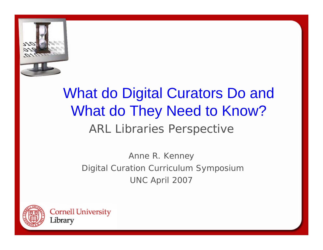

# ARL Libraries Perspective What do Digital Curators Do and What do They Need to Know?

Anne R. Kenney Digital Curation Curriculum Symposium UNC April 2007

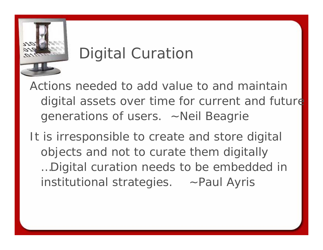

# Digital Curation

Actions needed to add value to and maintain digital assets over time for current and future generations of users. ~Neil Beagrie

It is irresponsible to create and store digital objects and not to curate them digitally …Digital curation needs to be embedded in institutional strategies. ~Paul Ayris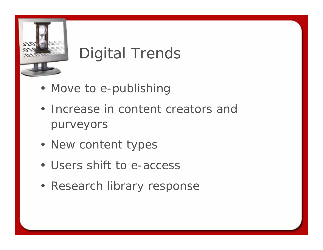

# Digital Trends

- Move to e-publishing
- Increase in content creators and purveyors
- New content types
- Users shift to e-access
- Research library response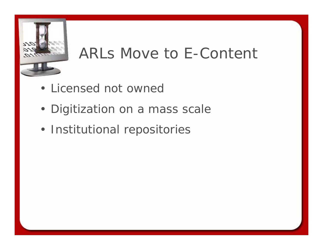

#### ARLs Move to E-Content

- Licensed not owned
- Digitization on a mass scale
- Institutional repositories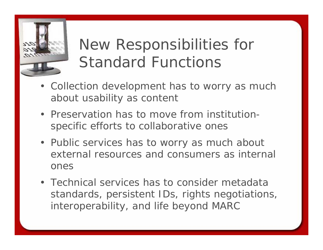

# New Responsibilities for Standard Functions

- Collection development has to worry as much about usability as content
- Preservation has to move from institutionspecific efforts to collaborative ones
- Public services has to worry as much about external resources and consumers as internal ones
- Technical services has to consider metadata standards, persistent IDs, rights negotiations, interoperability, and life beyond MARC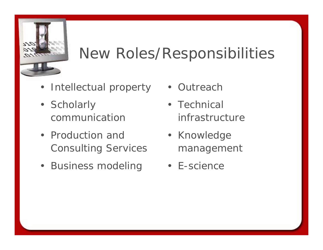

## New Roles/Responsibilities

- Intellectual property
- Scholarly communication
- Production and Consulting Services
- Business modeling
- Outreach
- Technical infrastructure
- Knowledge management
- E-science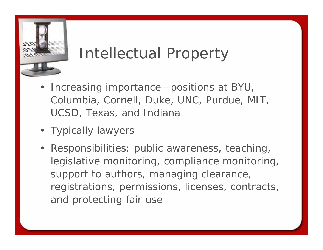

#### Intellectual Property

- Increasing importance—positions at BYU, Columbia, Cornell, Duke, UNC, Purdue, MIT, UCSD, Texas, and Indiana
- Typically lawyers
- Responsibilities: public awareness, teaching, legislative monitoring, compliance monitoring, support to authors, managing clearance, registrations, permissions, licenses, contracts, and protecting fair use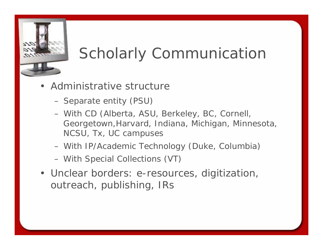

# Scholarly Communication

- Administrative structure
	- Separate entity (PSU)
	- With CD (Alberta, ASU, Berkeley, BC, Cornell, Georgetown,Harvard, Indiana, Michigan, Minnesota, NCSU, Tx, UC campuses
	- With IP/Academic Technology (Duke, Columbia)
	- With Special Collections (VT)
- Unclear borders: e-resources, digitization, outreach, publishing, IRs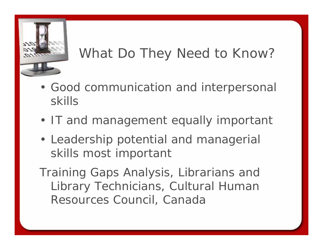

#### What Do They Need to Know?

- Good communication and interpersonal skills
- IT and management equally important
- Leadership potential and managerial skills most important

*Training Gaps Analysis, Librarians and Library Technicians,* Cultural Human Resources Council, Canada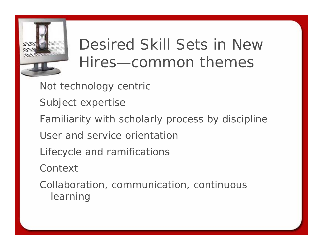

# Desired Skill Sets in New Hires—common themes

- Not technology centric
- Subject expertise
- Familiarity with scholarly process by discipline
- User and service orientation
- Lifecycle and ramifications
- **Context**
- Collaboration, communication, continuous learning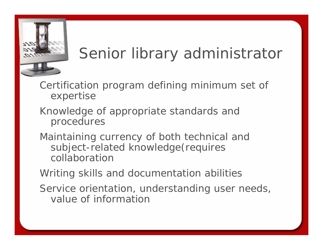

# Senior library administrator

Certification program defining minimum set of expertise

- Knowledge of appropriate standards and procedures
- Maintaining currency of both technical and subject-related knowledge(requires collaboration

Writing skills and documentation abilities

Service orientation, understanding user needs, value of information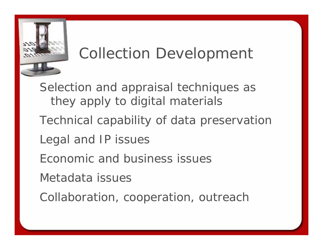

#### Collection Development

Selection and appraisal techniques as they apply to digital materials

- Technical capability of data preservation
- Legal and IP issues
- Economic and business issues
- Metadata issues
- Collaboration, cooperation, outreach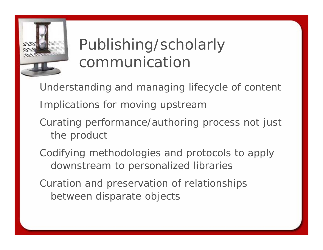

# Publishing/scholarly communication

Understanding and managing lifecycle of content Implications for moving upstream

- Curating performance/authoring process not just the product
- Codifying methodologies and protocols to apply downstream to personalized libraries
- Curation and preservation of relationships between disparate objects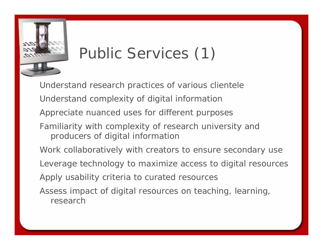

# Public Services (1)

Understand research practices of various clientele Understand complexity of digital information Appreciate nuanced uses for different purposes Familiarity with complexity of research university and producers of digital information Work collaboratively with creators to ensure secondary use Leverage technology to maximize access to digital resources Apply usability criteria to curated resources Assess impact of digital resources on teaching, learning, research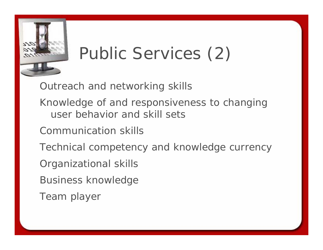

# Public Services (2)

Outreach and networking skills

- Knowledge of and responsiveness to changing user behavior and skill sets
- Communication skills
- Technical competency and knowledge currency
- Organizational skills
- Business knowledge
- Team player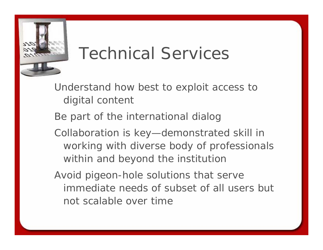

# Technical Services

Understand how best to exploit access to digital content

Be part of the international dialog

Collaboration is key—demonstrated skill in working with diverse body of professionals within and beyond the institution

Avoid pigeon-hole solutions that serve immediate needs of subset of all users but not scalable over time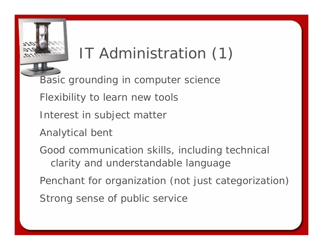# IT Administration (1)

Basic grounding in computer science

Flexibility to learn new tools

Interest in subject matter

Analytical bent

Good communication skills, including technical clarity and understandable language

Penchant for organization (not just categorization) Strong sense of public service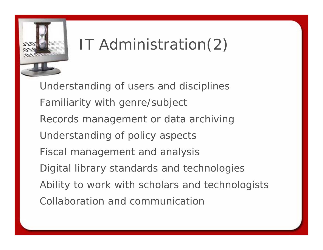

# IT Administration(2)

Understanding of users and disciplines Familiarity with genre/subject Records management or data archiving Understanding of policy aspects Fiscal management and analysis Digital library standards and technologies Ability to work with scholars and technologists Collaboration and communication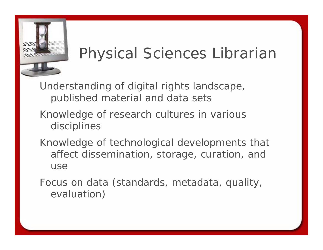

# Physical Sciences Librarian

Understanding of digital rights landscape, published material and data sets

- Knowledge of research cultures in various disciplines
- Knowledge of technological developments that affect dissemination, storage, curation, and use

Focus on data (standards, metadata, quality, evaluation)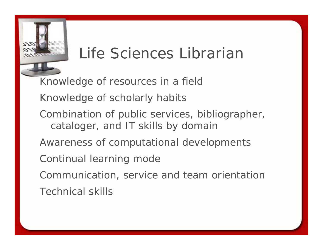

#### Life Sciences Librarian

Knowledge of resources in a field Knowledge of scholarly habits Combination of public services, bibliographer, cataloger, and IT skills by domain Awareness of computational developments Continual learning mode Communication, service and team orientation Technical skills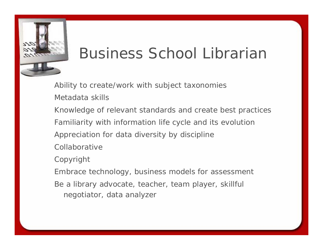

#### Business School Librarian

Ability to create/work with subject taxonomies Metadata skills

Knowledge of relevant standards and create best practices Familiarity with information life cycle and its evolution Appreciation for data diversity by discipline

Collaborative

Copyright

Embrace technology, business models for assessment

Be a library advocate, teacher, team player, skillful negotiator, data analyzer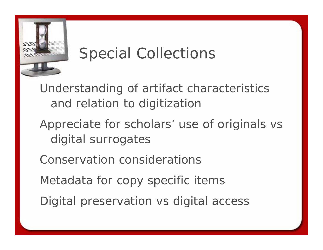

# Special Collections

Understanding of artifact characteristics and relation to digitization

- Appreciate for scholars' use of originals vs digital surrogates
- Conservation considerations
- Metadata for copy specific items
- Digital preservation vs digital access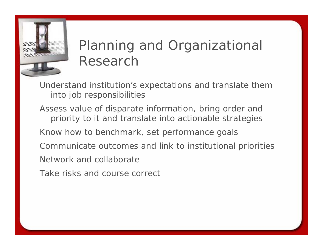

#### Planning and Organizational Research

Understand institution's expectations and translate them into job responsibilities

Assess value of disparate information, bring order and priority to it and translate into actionable strategies Know how to benchmark, set performance goals Communicate outcomes and link to institutional priorities Network and collaborate

Take risks and course correct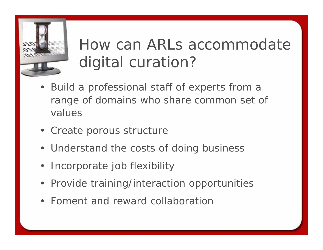

# How can ARLs accommodate digital curation?

- Build a professional staff of experts from a range of domains who share common set of values
- Create porous structure
- Understand the costs of doing business
- Incorporate job flexibility
- Provide training/interaction opportunities
- Foment and reward collaboration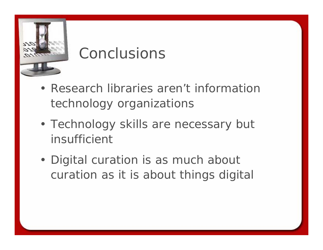

# Conclusions

- Research libraries aren't information technology organizations
- Technology skills are necessary but insufficient
- Digital curation is as much about curation as it is about things digital